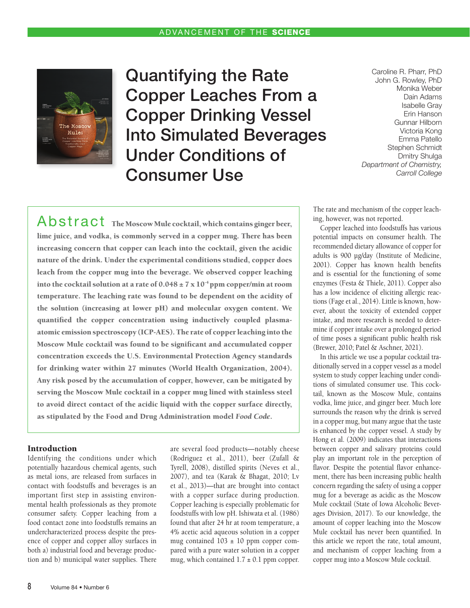

Quantifying the Rate Copper Leaches From a Copper Drinking Vessel Into Simulated Beverages Under Conditions of Consumer Use

Caroline R. Pharr, PhD John G. Rowley, PhD Monika Weber Dain Adams Isabelle Gray Erin Hanson Gunnar Hilborn Victoria Kong Emma Patello Stephen Schmidt Dmitry Shulga *Department of Chemistry, Carroll College*

Abstract The Moscow Mule cocktail, which contains ginger beer, lime juice, and vodka, is commonly served in a copper mug. There has been increasing concern that copper can leach into the cocktail, given the acidic nature of the drink. Under the experimental conditions studied, copper does leach from the copper mug into the beverage. We observed copper leaching into the cocktail solution at a rate of  $0.048 \pm 7 \times 10^{-4}$  ppm copper/min at room temperature. The leaching rate was found to be dependent on the acidity of the solution (increasing at lower pH) and molecular oxygen content. We quantified the copper concentration using inductively coupled plasmaatomic emission spectroscopy (ICP-AES). The rate of copper leaching into the Moscow Mule cocktail was found to be significant and accumulated copper concentration exceeds the U.S. Environmental Protection Agency standards for drinking water within 27 minutes (World Health Organization, 2004). Any risk posed by the accumulation of copper, however, can be mitigated by serving the Moscow Mule cocktail in a copper mug lined with stainless steel to avoid direct contact of the acidic liquid with the copper surface directly, as stipulated by the Food and Drug Administration model *Food Code*.

## Introduction

Identifying the conditions under which potentially hazardous chemical agents, such as metal ions, are released from surfaces in contact with foodstuffs and beverages is an important first step in assisting environmental health professionals as they promote consumer safety. Copper leaching from a food contact zone into foodstuffs remains an undercharacterized process despite the presence of copper and copper alloy surfaces in both a) industrial food and beverage production and b) municipal water supplies. There are several food products—notably cheese (Rodriguez et al., 2011), beer (Zufall & Tyrell, 2008), distilled spirits (Neves et al., 2007), and tea (Karak & Bhagat, 2010; Lv et al., 2013)—that are brought into contact with a copper surface during production. Copper leaching is especially problematic for foodstuffs with low pH. Ishiwata et al. (1986) found that after 24 hr at room temperature, a 4% acetic acid aqueous solution in a copper mug contained  $103 \pm 10$  ppm copper compared with a pure water solution in a copper mug, which contained  $1.7 \pm 0.1$  ppm copper. The rate and mechanism of the copper leaching, however, was not reported.

Copper leached into foodstuffs has various potential impacts on consumer health. The recommended dietary allowance of copper for adults is 900 µg/day (Institute of Medicine, 2001). Copper has known health benefits and is essential for the functioning of some enzymes (Festa & Thiele, 2011). Copper also has a low incidence of eliciting allergic reactions (Fage et al., 2014). Little is known, however, about the toxicity of extended copper intake, and more research is needed to determine if copper intake over a prolonged period of time poses a significant public health risk (Brewer, 2010; Patel & Aschner, 2021).

In this article we use a popular cocktail traditionally served in a copper vessel as a model system to study copper leaching under conditions of simulated consumer use. This cocktail, known as the Moscow Mule, contains vodka, lime juice, and ginger beer. Much lore surrounds the reason why the drink is served in a copper mug, but many argue that the taste is enhanced by the copper vessel. A study by Hong et al. (2009) indicates that interactions between copper and salivary proteins could play an important role in the perception of flavor. Despite the potential flavor enhancement, there has been increasing public health concern regarding the safety of using a copper mug for a beverage as acidic as the Moscow Mule cocktail (State of Iowa Alcoholic Beverages Division, 2017). To our knowledge, the amount of copper leaching into the Moscow Mule cocktail has never been quantified. In this article we report the rate, total amount, and mechanism of copper leaching from a copper mug into a Moscow Mule cocktail.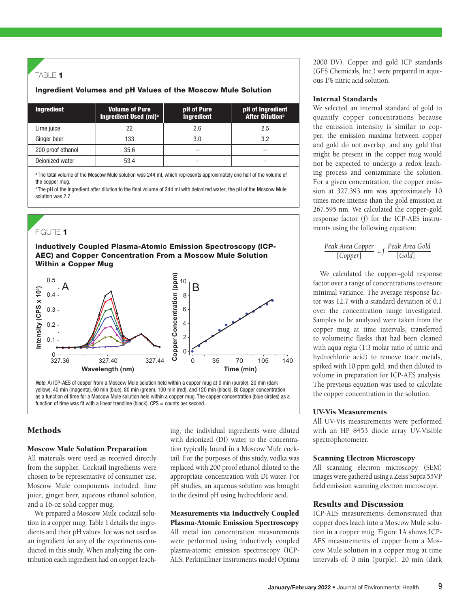## TABLE  $1$

## Ingredient Volumes and pH Values of the Moscow Mule Solution

| <b>Ingredient</b> | <b>Volume of Pure</b><br>Ingredient Used (ml) <sup>a</sup> | pH of Pure<br><b>Ingredient</b> | pH of Ingredient<br><b>After Dilution</b> <sup>b</sup> |
|-------------------|------------------------------------------------------------|---------------------------------|--------------------------------------------------------|
| Lime juice        | 22                                                         | 2.6                             | 2.5                                                    |
| Ginger beer       | 133                                                        | 3.0                             | 3.2                                                    |
| 200 proof ethanol | 35.6                                                       |                                 |                                                        |
| Dejonized water   | 53.4                                                       |                                 |                                                        |

a The total volume of the Moscow Mule solution was 244 ml, which represents approximately one half of the volume of the copper mug.

**b** The pH of the ingredient after dilution to the final volume of 244 ml with deionized water; the pH of the Moscow Mule solution was 2.7.

# FIGURE 1

Inductively Coupled Plasma-Atomic Emission Spectroscopy (ICP-AEC) and Copper Concentration From a Moscow Mule Solution Within a Copper Mug



*Note*. A) ICP-AES of copper from a Moscow Mule solution held within a copper mug at 0 min (purple), 20 min (dark yellow), 40 min (magenta), 60 min (blue), 80 min (green), 100 min (red), and 120 min (black). B) Copper concentration as a function of time for a Moscow Mule solution held within a copper mug. The copper concentration (blue circles) as a function of time was fit with a linear trendline (black).  $CPS = \text{counts}$  per second.

# **Methods**

#### Moscow Mule Solution Preparation

All materials were used as received directly from the supplier. Cocktail ingredients were chosen to be representative of consumer use. Moscow Mule components included: lime juice, ginger beer, aqueous ethanol solution, and a 16-oz solid copper mug.

We prepared a Moscow Mule cocktail solution in a copper mug. Table 1 details the ingredients and their pH values. Ice was not used as an ingredient for any of the experiments conducted in this study. When analyzing the contribution each ingredient had on copper leaching, the individual ingredients were diluted with deionized (DI) water to the concentration typically found in a Moscow Mule cocktail. For the purposes of this study, vodka was replaced with 200 proof ethanol diluted to the appropriate concentration with DI water. For pH studies, an aqueous solution was brought to the desired pH using hydrochloric acid.

Measurements via Inductively Coupled Plasma-Atomic Emission Spectroscopy All metal ion concentration measurements were performed using inductively coupled plasma-atomic emission spectroscopy (ICP-AES; PerkinElmer Instruments model Optima 2000 DV). Copper and gold ICP standards (GFS Chemicals, Inc.) were prepared in aqueous 1% nitric acid solution.

#### Internal Standards

We selected an internal standard of gold to quantify copper concentrations because the emission intensity is similar to copper, the emission maxima between copper and gold do not overlap, and any gold that might be present in the copper mug would not be expected to undergo a redox leaching process and contaminate the solution. For a given concentration, the copper emission at 327.393 nm was approximately 10 times more intense than the gold emission at 267.595 nm. We calculated the copper–gold response factor (*f*) for the ICP-AES instruments using the following equation:

$$
\frac{Peak Area \text{ Copper}}{[Copper]} = f \frac{Peak \text{ Area } Gold}{[Gold]}
$$

We calculated the copper–gold response factor over a range of concentrations to ensure minimal variance. The average response factor was 12.7 with a standard deviation of 0.1 over the concentration range investigated. Samples to be analyzed were taken from the copper mug at time intervals, transferred to volumetric flasks that had been cleaned with aqua regia (1:3 molar ratio of nitric and hydrochloric acid) to remove trace metals, spiked with 10 ppm gold, and then diluted to volume in preparation for ICP-AES analysis. The previous equation was used to calculate the copper concentration in the solution.

#### UV-Vis Measurements

All UV-Vis measurements were performed with an HP 8453 diode array UV-Visible spectrophotometer.

#### Scanning Electron Microscopy

All scanning electron microscopy (SEM) images were gathered using a Zeiss Supra 55VP field emission scanning electron microscope.

#### Results and Discussion

ICP-AES measurements demonstrated that copper does leach into a Moscow Mule solution in a copper mug. Figure 1A shows ICP-AES measurements of copper from a Moscow Mule solution in a copper mug at time intervals of: 0 min (purple), 20 min (dark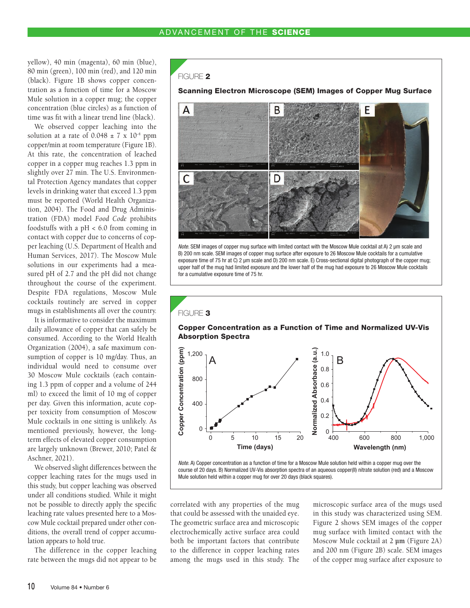yellow), 40 min (magenta), 60 min (blue), 80 min (green), 100 min (red), and 120 min (black). Figure 1B shows copper concentration as a function of time for a Moscow Mule solution in a copper mug; the copper concentration (blue circles) as a function of time was fit with a linear trend line (black).

We observed copper leaching into the solution at a rate of  $0.048 \pm 7 \times 10^{-4}$  ppm copper/min at room temperature (Figure 1B). At this rate, the concentration of leached copper in a copper mug reaches 1.3 ppm in slightly over 27 min. The U.S. Environmental Protection Agency mandates that copper levels in drinking water that exceed 1.3 ppm must be reported (World Health Organization, 2004). The Food and Drug Administration (FDA) model *Food Code* prohibits foodstuffs with a pH < 6.0 from coming in contact with copper due to concerns of copper leaching (U.S. Department of Health and Human Services, 2017). The Moscow Mule solutions in our experiments had a measured pH of 2.7 and the pH did not change throughout the course of the experiment. Despite FDA regulations, Moscow Mule cocktails routinely are served in copper mugs in establishments all over the country.

It is informative to consider the maximum daily allowance of copper that can safely be consumed. According to the World Health Organization (2004), a safe maximum consumption of copper is 10 mg/day. Thus, an individual would need to consume over 30 Moscow Mule cocktails (each containing 1.3 ppm of copper and a volume of 244 ml) to exceed the limit of 10 mg of copper per day. Given this information, acute copper toxicity from consumption of Moscow Mule cocktails in one sitting is unlikely. As mentioned previously, however, the longterm effects of elevated copper consumption are largely unknown (Brewer, 2010; Patel & Aschner, 2021).

We observed slight differences between the copper leaching rates for the mugs used in this study, but copper leaching was observed under all conditions studied. While it might not be possible to directly apply the specific leaching rate values presented here to a Moscow Mule cocktail prepared under other conditions, the overall trend of copper accumulation appears to hold true.

The difference in the copper leaching rate between the mugs did not appear to be

#### FIGURE 2

Scanning Electron Microscope (SEM) Images of Copper Mug Surface



*Note.* SEM images of copper mug surface with limited contact with the Moscow Mule cocktail at A) 2 μm scale and B) 200 nm scale. SEM images of copper mug surface after exposure to 26 Moscow Mule cocktails for a cumulative exposure time of 75 hr at C) 2 μm scale and D) 200 nm scale. E) Cross-sectional digital photograph of the copper mug; upper half of the mug had limited exposure and the lower half of the mug had exposure to 26 Moscow Mule cocktails for a cumulative exposure time of 75 hr.



*Note.* A) Copper concentration as a function of time for a Moscow Mule solution held within a copper mug over the course of 20 days. B) Normalized UV-Vis absorption spectra of an aqueous copper(II) nitrate solution (red) and a Moscow Mule solution held within a copper mug for over 20 days (black squares).

correlated with any properties of the mug that could be assessed with the unaided eye. The geometric surface area and microscopic electrochemically active surface area could both be important factors that contribute to the difference in copper leaching rates among the mugs used in this study. The microscopic surface area of the mugs used in this study was characterized using SEM. Figure 2 shows SEM images of the copper mug surface with limited contact with the Moscow Mule cocktail at 2 **µm** (Figure 2A) and 200 nm (Figure 2B) scale. SEM images of the copper mug surface after exposure to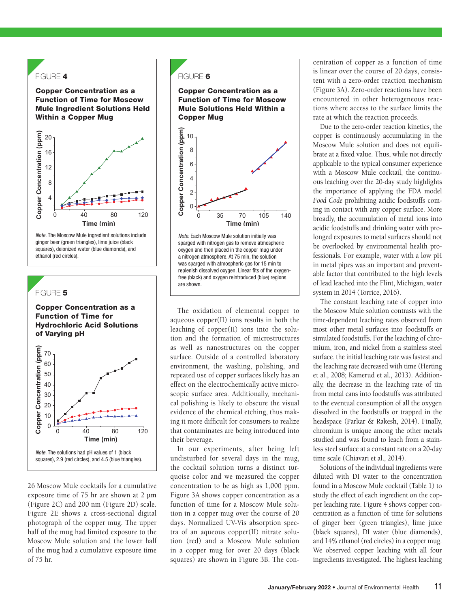# FIGURE 4

Copper Concentration as a Function of Time for Moscow Mule Ingredient Solutions Held Within a Copper Mug



*Note.* The Moscow Mule ingredient solutions include ginger beer (green triangles), lime juice (black squares), deionized water (blue diamonds), and ethanol (red circles).

#### FIGURE 5

Copper Concentration as a Function of Time for Hydrochloric Acid Solutions of Varying pH



26 Moscow Mule cocktails for a cumulative exposure time of 75 hr are shown at 2 **µm** (Figure 2C) and 200 nm (Figure 2D) scale. Figure 2E shows a cross-sectional digital photograph of the copper mug. The upper half of the mug had limited exposure to the Moscow Mule solution and the lower half of the mug had a cumulative exposure time of 75 hr.

#### FIGURE 6





*Note.* Each Moscow Mule solution initially was sparged with nitrogen gas to remove atmospheric oxygen and then placed in the copper mug under a nitrogen atmosphere. At 75 min, the solution was sparged with atmospheric gas for 15 min to replenish dissolved oxygen. Linear fits of the oxygenfree (black) and oxygen reintroduced (blue) regions are shown.

The oxidation of elemental copper to aqueous copper(II) ions results in both the leaching of copper(II) ions into the solution and the formation of microstructures as well as nanostructures on the copper surface. Outside of a controlled laboratory environment, the washing, polishing, and repeated use of copper surfaces likely has an effect on the electrochemically active microscopic surface area. Additionally, mechanical polishing is likely to obscure the visual evidence of the chemical etching, thus making it more difficult for consumers to realize that contaminates are being introduced into their beverage.

In our experiments, after being left undisturbed for several days in the mug, the cocktail solution turns a distinct turquoise color and we measured the copper concentration to be as high as 1,000 ppm. Figure 3A shows copper concentration as a function of time for a Moscow Mule solution in a copper mug over the course of 20 days. Normalized UV-Vis absorption spectra of an aqueous copper(II) nitrate solution (red) and a Moscow Mule solution in a copper mug for over 20 days (black squares) are shown in Figure 3B. The concentration of copper as a function of time is linear over the course of 20 days, consistent with a zero-order reaction mechanism (Figure 3A). Zero-order reactions have been encountered in other heterogeneous reactions where access to the surface limits the rate at which the reaction proceeds.

Due to the zero-order reaction kinetics, the copper is continuously accumulating in the Moscow Mule solution and does not equilibrate at a fixed value. Thus, while not directly applicable to the typical consumer experience with a Moscow Mule cocktail, the continuous leaching over the 20-day study highlights the importance of applying the FDA model *Food Code* prohibiting acidic foodstuffs coming in contact with any copper surface. More broadly, the accumulation of metal ions into acidic foodstuffs and drinking water with prolonged exposures to metal surfaces should not be overlooked by environmental health professionals. For example, water with a low pH in metal pipes was an important and preventable factor that contributed to the high levels of lead leached into the Flint, Michigan, water system in 2014 (Torrice, 2016).

The constant leaching rate of copper into the Moscow Mule solution contrasts with the time-dependent leaching rates observed from most other metal surfaces into foodstuffs or simulated foodstuffs. For the leaching of chromium, iron, and nickel from a stainless steel surface, the initial leaching rate was fastest and the leaching rate decreased with time (Herting et al., 2008; Kamerud et al., 2013). Additionally, the decrease in the leaching rate of tin from metal cans into foodstuffs was attributed to the eventual consumption of all the oxygen dissolved in the foodstuffs or trapped in the headspace (Parkar & Rakesh, 2014). Finally, chromium is unique among the other metals studied and was found to leach from a stainless steel surface at a constant rate on a 20-day time scale (Chiavari et al., 2014).

Solutions of the individual ingredients were diluted with DI water to the concentration found in a Moscow Mule cocktail (Table 1) to study the effect of each ingredient on the copper leaching rate. Figure 4 shows copper concentration as a function of time for solutions of ginger beer (green triangles), lime juice (black squares), DI water (blue diamonds), and 14% ethanol (red circles) in a copper mug. We observed copper leaching with all four ingredients investigated. The highest leaching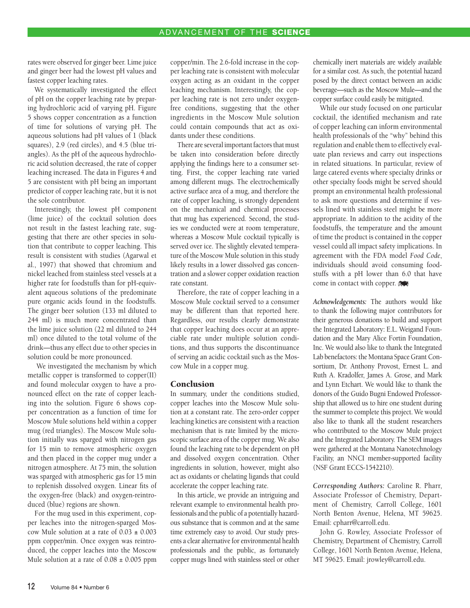rates were observed for ginger beer. Lime juice and ginger beer had the lowest pH values and fastest copper leaching rates.

We systematically investigated the effect of pH on the copper leaching rate by preparing hydrochloric acid of varying pH. Figure 5 shows copper concentration as a function of time for solutions of varying pH. The aqueous solutions had pH values of 1 (black squares), 2.9 (red circles), and 4.5 (blue triangles). As the pH of the aqueous hydrochloric acid solution decreased, the rate of copper leaching increased. The data in Figures 4 and 5 are consistent with pH being an important predictor of copper leaching rate, but it is not the sole contributor.

Interestingly, the lowest pH component (lime juice) of the cocktail solution does not result in the fastest leaching rate, suggesting that there are other species in solution that contribute to copper leaching. This result is consistent with studies (Agarwal et al., 1997) that showed that chromium and nickel leached from stainless steel vessels at a higher rate for foodstuffs than for pH-equivalent aqueous solutions of the predominate pure organic acids found in the foodstuffs. The ginger beer solution (133 ml diluted to 244 ml) is much more concentrated than the lime juice solution (22 ml diluted to 244 ml) once diluted to the total volume of the drink—thus any effect due to other species in solution could be more pronounced.

 We investigated the mechanism by which metallic copper is transformed to copper(II) and found molecular oxygen to have a pronounced effect on the rate of copper leaching into the solution. Figure 6 shows copper concentration as a function of time for Moscow Mule solutions held within a copper mug (red triangles). The Moscow Mule solution initially was sparged with nitrogen gas for 15 min to remove atmospheric oxygen and then placed in the copper mug under a nitrogen atmosphere. At 75 min, the solution was sparged with atmospheric gas for 15 min to replenish dissolved oxygen. Linear fits of the oxygen-free (black) and oxygen-reintroduced (blue) regions are shown.

For the mug used in this experiment, copper leaches into the nitrogen-sparged Moscow Mule solution at a rate of 0.03 **±** 0.003 ppm copper/min. Once oxygen was reintroduced, the copper leaches into the Moscow Mule solution at a rate of  $0.08 \pm 0.005$  ppm

copper/min. The 2.6-fold increase in the copper leaching rate is consistent with molecular oxygen acting as an oxidant in the copper leaching mechanism. Interestingly, the copper leaching rate is not zero under oxygenfree conditions, suggesting that the other ingredients in the Moscow Mule solution could contain compounds that act as oxidants under these conditions.

There are several important factors that must be taken into consideration before directly applying the findings here to a consumer setting. First, the copper leaching rate varied among different mugs. The electrochemically active surface area of a mug, and therefore the rate of copper leaching, is strongly dependent on the mechanical and chemical processes that mug has experienced. Second, the studies we conducted were at room temperature, whereas a Moscow Mule cocktail typically is served over ice. The slightly elevated temperature of the Moscow Mule solution in this study likely results in a lower dissolved gas concentration and a slower copper oxidation reaction rate constant.

Therefore, the rate of copper leaching in a Moscow Mule cocktail served to a consumer may be different than that reported here. Regardless, our results clearly demonstrate that copper leaching does occur at an appreciable rate under multiple solution conditions, and thus supports the discontinuance of serving an acidic cocktail such as the Moscow Mule in a copper mug.

#### Conclusion

In summary, under the conditions studied, copper leaches into the Moscow Mule solution at a constant rate. The zero-order copper leaching kinetics are consistent with a reaction mechanism that is rate limited by the microscopic surface area of the copper mug. We also found the leaching rate to be dependent on pH and dissolved oxygen concentration. Other ingredients in solution, however, might also act as oxidants or chelating ligands that could accelerate the copper leaching rate.

In this article, we provide an intriguing and relevant example to environmental health professionals and the public of a potentially hazardous substance that is common and at the same time extremely easy to avoid. Our study presents a clear alternative for environmental health professionals and the public, as fortunately copper mugs lined with stainless steel or other chemically inert materials are widely available for a similar cost. As such, the potential hazard posed by the direct contact between an acidic beverage—such as the Moscow Mule—and the copper surface could easily be mitigated.

While our study focused on one particular cocktail, the identified mechanism and rate of copper leaching can inform environmental health professionals of the "why" behind this regulation and enable them to effectively evaluate plan reviews and carry out inspections in related situations. In particular, review of large catered events where specialty drinks or other specialty foods might be served should prompt an environmental health professional to ask more questions and determine if vessels lined with stainless steel might be more appropriate. In addition to the acidity of the foodstuffs, the temperature and the amount of time the product is contained in the copper vessel could all impact safety implications. In agreement with the FDA model *Food Code*, individuals should avoid consuming foodstuffs with a pH lower than 6.0 that have come in contact with copper.

*Acknowledgements:* The authors would like to thank the following major contributors for their generous donations to build and support the Integrated Laboratory: E.L. Weigand Foundation and the Mary Alice Fortin Foundation, Inc. We would also like to thank the Integrated Lab benefactors: the Montana Space Grant Consortium, Dr. Anthony Provost, Ernest L. and Ruth A. Kradolfer, James A. Grose, and Mark and Lynn Etchart. We would like to thank the donors of the Guido Bugni Endowed Professorship that allowed us to hire one student during the summer to complete this project. We would also like to thank all the student researchers who contributed to the Moscow Mule project and the Integrated Laboratory. The SEM images were gathered at the Montana Nanotechnology Facility, an NNCI member-supported facility (NSF Grant ECCS-1542210).

*Corresponding Authors:* Caroline R. Pharr, Associate Professor of Chemistry, Department of Chemistry, Carroll College, 1601 North Benton Avenue, Helena, MT 59625. Email: cpharr@carroll.edu.

John G. Rowley, Associate Professor of Chemistry, Department of Chemistry, Carroll College, 1601 North Benton Avenue, Helena, MT 59625. Email: jrowley@carroll.edu.